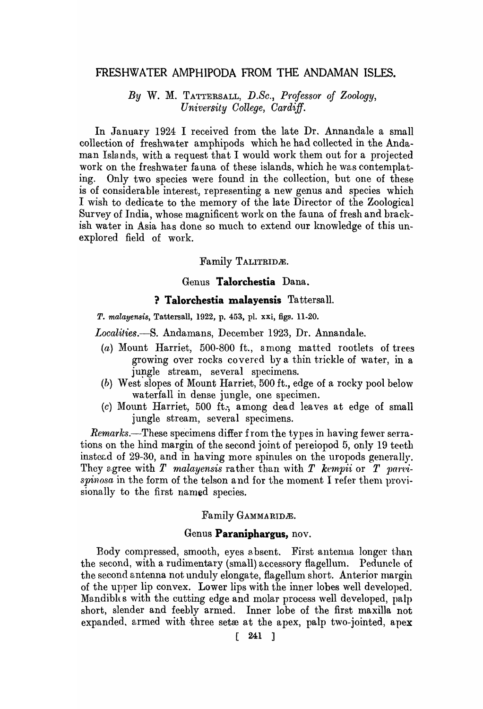# FRESHWATER AMPHIPODA FROM THE ANDAMAN ISLES.

*By* W. M. TATTERSALL, *D.Se., Professor of Zoology, University College, Cardiff.* 

In January 1924 I received from the late Dr. Annandale a small collection of freshwater amphipods which he had collected in the Andaman Islands, with a request that I would work them out for a projected work on the freshwater fauna of these islands, which he was contemplating. Only two species were found in the collection, but one of these is of considerable interest, representing a new genus and species which I wish to dedicate to the memory of the late Director of the Zoological Survey of India, whose magnificent work on the fauna of fresh and brackish water in Asia has done so much to extend our knowledge of this unexplored field of work.

## Family TALITRIDÆ.

### Genus **TaIorchestia** Dana.

#### **? Talorchestia malayensis** Tattersall.

*T. malayensis,* Tattersall, 1922, p. 453, pl. xXi, figs. 11-20.

*Localities.-S.* Andamans, December 1923, Dr. Annandale.

- (a) Mount Harriet, 500-800 ft., 3 mong matted rootlets of trees growing over rocks covered by a thin trickle of water, in a jungle stream, several specimens.
- (b) West slopes of Mount Harriet, 500 ft., edge of a rocky pool below wa terfall in dense jungle, one specimen.
- (c) Mount Harriet, 500 ft.; among dead leaves at edge of small jungle stream, several specimens.

*Remarks.--These* specimens differ from the types in having fewer serrations on the hind margin of the second joint of pereiopod 5, only 19 teeth instead of 29-30, and in having more spinules on the uropods generally. They agree with  $T$  malayensis rather than with  $T$  kempii or  $T$  parvispinosa in the form of the telson and for the moment I refer them provisionally to the first named species.

### Family GAMMARIDÆ.

# Genus **Paraniphargus,** nov.

Body compressed, smooth, eyes absent. First antenna longer than the second, with a rudimentary (small) accessory flagellum. Pedunele of the second antenna not unduly elongate, flagellum short. Anterior margin of the upper lip convex. Lower lips with the inner lobes well developed. Mandibles with the cutting edge and molar process well developed, palp short, slender and feebly armed. Inner lobe of the first maxilla not expanded. armed with three set $x$  at the apex, palp two-jointed, apex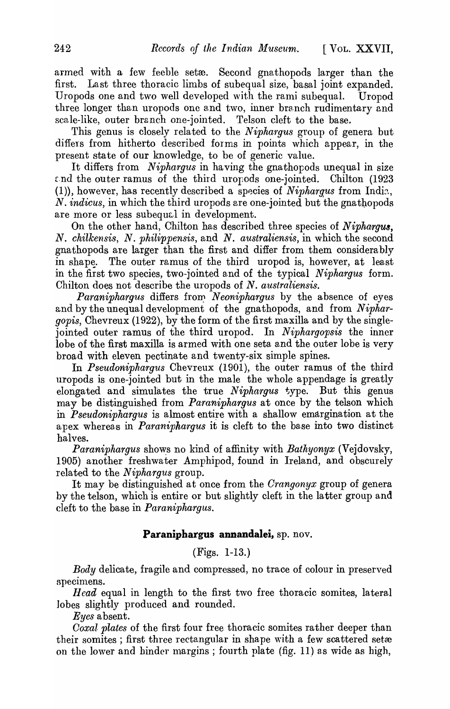armed with a few feeble seta. Second gnathopods larger than the first. Last three thoracic limbs of subequal size, basal joint expanded. Uropods one and two well developed \vith the rami subequal. Uropod three longer than uropods one and two, inner branch rudimentary and scale-like, outer branch one-jointed. Telson cleft to the base.

This genus is closely related to the *Niphargus* group of genera but differs from hitherto described forms in points which appear, in the present state of our knowledge, to be of generic value.

It differs from *Niphargus* in having the gnathopods unequal in size  $\epsilon$ nd the outer ramus of the third uropods one-jointed. Chilton (1923 (1)), however, has recently described a species of *Niphargus* from India, N. *indicus*, in which the third uropods are one-jointed but the gnathopods are more or less subequal in development.

On the other hand, Chilton has described three species of *Niphargus,*  N. *chilkensis,* N. *philippensis,* and *N. australiensis,* in which the second gna thopods are larger than the first and differ from them considerably in shape. The outer ramus of the third uropod is, however, at least in the first two species, two-jointed and of the typical *Niphargus* form. Chilton does not describe the uropods of *N. australiensis.* 

*Paraniphargus* differs from *Neoniphargus* by the absence of eyes and by the unequal development of the gnathopods, and from *Niphargopis,* Chevreux (1922), by the form of the first maxilla and by the singlejointed outer ramus of the third uropod. In *Niphargopsis* the inner lobe of the first maxilla is armed with one seta and the outer lobe is very broad with' eleven pectinate and twenty-six simple spines.

In *Pseudoniphargus* Chevreux (1901), the outer ramus of the third uropods is one-jointed but in the male the whole appendage is greatly elongated and simulates the true *Niphargus* type. But this genus may be distinguished from *Paraniphargus* at once by the telson which in *Pseudoniphargus* is almost entire with a shallow emargination at the apex whereas in *Paraniphargus* it is cleft to the base into two distinct halves.

*Paraniphargus* shows no kind of affinity with *Bathyonyx* (Vejdovsky, 1905) another freshwater Amphipod, found in Ireland, and obscurely related to the *Niphargus* group.

It may be distinguished at once from the *Crangonyx* group of genera by the telson, which is entire or but slightly cleft in the latter group and cleft to the base in *Paraniphargus.* 

# **Paraniphargus annandalei,** sp. nov.

(Figs. 1-13.)

*Body* delicate, fragile and compressed, no trace of colour in preserved specimens.

*Head* equal in length to the first two free thoracic somites, lateral lobes slightly produced and rounded.

*Eyes* absent.

*Coxal plates* of the first four free thoracic somites rather deeper than their somites; first three rectangular in shape with a few scattered setæ on the lower and hinder margins; fourth plate (fig.  $11$ ) as wide as high,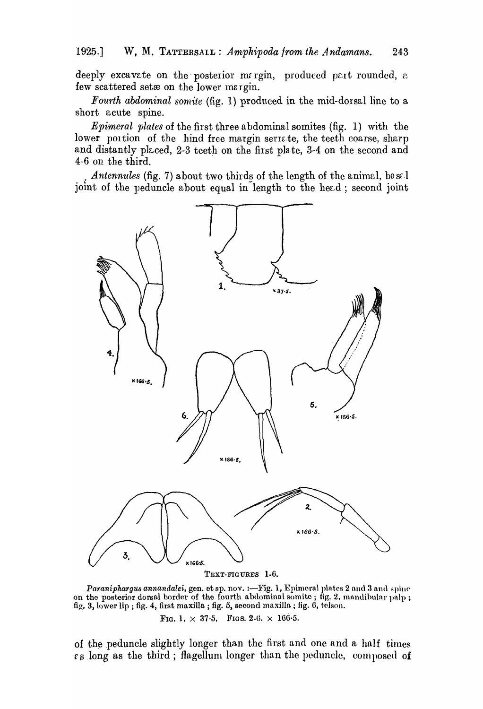deeply excavate on the posterior margin, produced part rounded, a few scattered setæ on the lower margin.

*Fourth abdominal somite* (fig. 1) produced in the mid-dorsal line to a short acute spine.

*Epimeral plates* of the first three abdominal somites (fig. 1) with the lower poition of the hind free margin serrate, the teeth coarse, sharp and distantly placed, 2-3 teeth on the first plate, 3-4 on the second and 4-6 on the third.

*Antennules* (fig. 7) about two thirds of the length of the animal, base. joint of the peduncle about equal in length to the head; second joint



TEXT-FIGURES 1-6.

*Paraniphargus annandalei, gen. et sp. nov. :- Fig. 1, Epimeral plates 2 and 3 and spine* on the posterior dorsal border of the fourth abdominal somite; fig. 2, mandibular palp; fig. 3, lower lip ; fig. 4, first maxilla; fig. 5, second maxilla; fig. 6, tolson.

FIG. 1.  $\times$  37.5. FIGS. 2.6.  $\times$  166.5.

of the peduncle slightly longer than the first and one and a half times  $\epsilon$  s long as the third; flagellum longer than the peduncle, composed of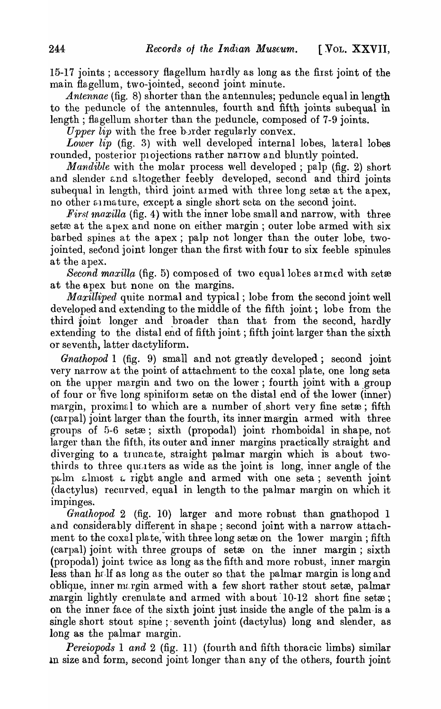15-17 joints; accessory flagellum hardly as long as the first joint of the main flagellum, two-jointed, second joint minute.

*Antennae* (fig. 8) shorter than the antennules; peduncle equal in length to the peduncle of the antennules, fourth and fifth joints subequal in length; flagellum shorter than the peduncle, composed of 7-9 joints.

*Upper lip* with the free border regularly convex.

*Lower lip* (fig. 3) with well developed internal lobes, lateral lobes rounded, posterior projections rather narrow and bluntly pointed.

*Mandible* with the molar process well developed; palp (fig. 2) short and slender and altogether feebly developed, second and third joints subequal in length, third joint armed with three long set at the apex, no other at mature, except a single short seta on the second joint.

*First maxilla* (fig. 4) with the inner lobe small and narrow, with three set $\alpha$  at the apex and none on either margin; outer lobe armed with six barbed spines at the apex; palp not longer than the outer lobe, twojointed, second joint longer than the first with four to six feeble spinules at the apex.

*Second maxilla* (fig. 5) composed of two equal lobes armed with set $\boldsymbol{\mathcal{E}}$ at the apex but none on the margins.

*Maxilliped* quite normal and typical; lobe from the second joint well developed and extending to the middle of the fifth joint; lobe from the third joint longer and broader than that from the second, hardly extending to the distal end of fifth joint; fifth joint larger than the sixth or seventh, latter dactyliform.

*Gnathopod* 1 (fig. 9) small and not greatly developed; second joint very narrow at the point of attachment to the coxal plate, one long seta on the upper margin and two on the lower; fourth joint with a group of four or five long spiniform set to on the distal end of the lower (inner) margin, proximal to which are a number of short very fine set $x$ ; fifth (carpal) joint larger than the fourth, its inner margin armed with three groups of 5-6 setæ; sixth (propodal) joint rhomboidal in shape, not larger than the fifth, its outer and inner margins practically straight and diverging to a truncate, straight palmar margin which is about twothirds to three quarters as wide as the joint is long, inner angle of the pulm almost a right angle and armed with one seta; seventh joint (dactylus) recurved, equal in length to the palmar margin on which it impinges.

*Gnathopod* 2 (fig. 10) larger 'and more robust than gnathopod 1 and considerably different in shape; second joint with a narrow attachment to the coxal plate, with three long set to on the lower margin; fifth (carpal) joint with three groups of set $x$  on the inner margin; sixth (propodal) joint twice as long as the fifth and more robust, inner margin less than helf as long as the outer so that the palmar margin is long and oblique, inner margin armed with a few short rather stout setæ, palmar margin lightly crenulate and armed with about  $10-12$  short fine set $x$ ; on the inner face of the sixth joint just inside the angle of the palm.is a single short stout spine;' seventh joint (dactylus) long and slender, as long as the palmar margin.

*Pereiopods* 1 *and* 2 (fig. 11) {fourth and fifth thoracic limbs) similar In size and form, second joint longer than any of the others, fourth joint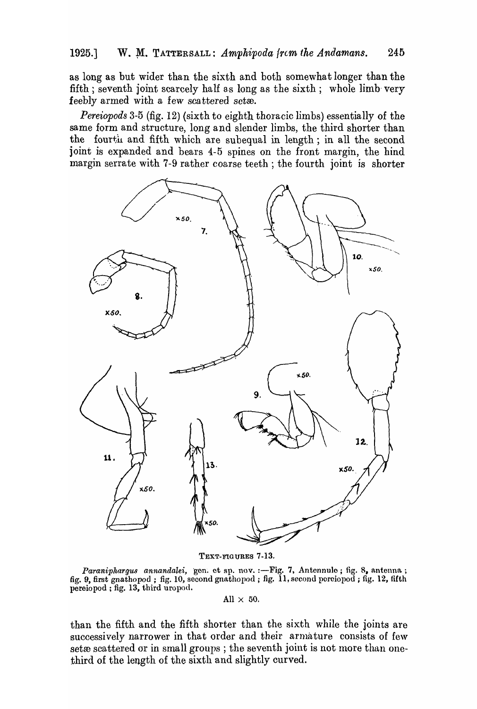as long as but wider than the sixth and both somewhat longer than the fifth; seventh joint scarcely half as long as the sixth; whole limb very feebly armed with a few scattered setee.

*Pereiopods* 3-5 (fig. 12) (sixth to eighth thoracic limbs) essentially of the same form and structure, long and slender limbs, the third shorter than the fourth and fifth which are subequal in length; in all the second joint is expanded and bears 4-5 spines on the front margin, the hind margin serrate with 7-9 rather coarse teeth; the fourth joint is shorter



TEXT-FIGURES 7-13.

*Paraniphargus annandalei*, gen. et sp. nov. :--Fig. 7, Antennule; fig. 8, antenna; fig. 9, first gnathopod ; fig. 10, second gnathopod ; fig. 11, second porciopod ; fig. 12, fifth pereiopod ; fig. 13, third uropod.

All  $\times$  50.

than the fifth and the fifth shorter than the sixth while the joints are successively narrower in that order and their armature consists of few setæ scattered or in small groups; the seventh joint is not more than onethird of the length of the sixth and slightly curved.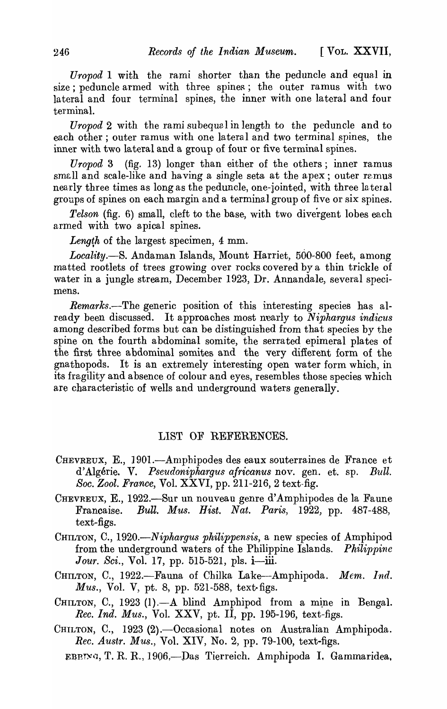*Uropod* 1 with the rami shorter than the peduncle and equal in size; peduncle armed with three spines; the outer ramus with two la teral and four terminal spines, the inner with one lateral and four terminal.

*Uropod* 2 with the rami subequal in length to the peduncle and to each other; outer ramus with one lateral and two terminal spines, the inner with two lateral and a group of four or five terminal spines.

*Uropod* 3 (fig. 13) longer than either of the others; inner ramus small and scale-like and having a single seta at the apex; outer ramus nearly three times as long as the peduncle, one-jointed, with three lateral groups of spines on each margin and a terminal group of five or six spines.

*Telson* (fig. 6) small, cleft to the base, with two divergent lobes each armed with two apical spines.

Length of the largest specimen,  $4 \text{ mm}$ .

*Locality.-S.* Andaman Islands, Mount Harriet, 500-800 feet, among matted rootlets of trees growing over rocks covered by a thin trickle of water in a jungle stream, December 1923, Dr. Annandale, several specimens.

*Remarks.*—The generic position of this interesting species has already been discussed. It approaches most nearly to *Niphargus indicus*  among described forms but can be distinguished from that species by the spine on the fourth abdominal somite, the serrated epimeral plates of the first three abdominal somites and the very different form of the gnathopods. It is an extremely interesting open water form which, in its fragility and absence of colour and eyes, resembles those species which are characteristic of wells and underground waters generally.

#### LIST OF REFERENCES.

- CHEVREUX, E., 1901.—Amphipodes des eaux souterraines de France et d' Algerie. V. *Pseudoniphargus africanus* nov. gen. et. sp. *Bull. Soc. Zool. France, Vol. XXVI, pp. 211-216, 2 text-fig.*
- CHEVREUX, E., 1922.-Sur un nouveau genre d'Amphipodes de la Faune Francaise. *Bull. Mus. Bist. Nat. Paris,* 1922, pp. 487-488, text-figs.
- CHILTON, C., *1920.-Niphargus philippensis,* a new species of Amphipod from the underground waters of the Philippine Islands. *Philippine Jour. Sci.*, Vol. 17, pp. 515-521, pls. i—iii.
- CHILTON, C., 1922.-Fauna of Chilka Lake-Amphipoda. Mem. Ind. *Mus.,* Vol. V, pt. 8, pp. 521-588, text-figs.
- CHILTON, C., 1923 (1).- A blind Amphipod from a mine in Bengal. *Rec. Ind. Mus.,* Vol. XXV, pt. II, pp. 195-196, text-figs.
- CHILTON, C., 1923 (2). Occasional notes on Australian Amphipoda. *Rec. Austr. Mus.,* Vol. XIV, No.2, pp. 79-100, text-figs.
	- EBETNG, T. R. R., 1906.—Das Tierreich. Amphipoda I. Gammaridea,